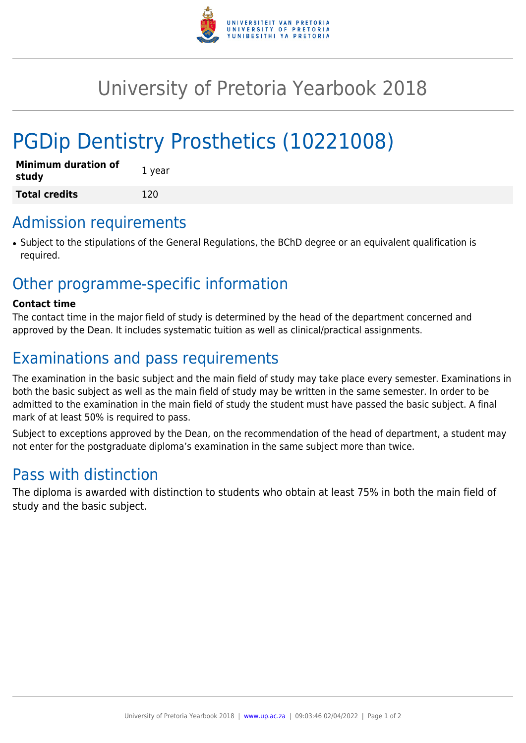

# University of Pretoria Yearbook 2018

# PGDip Dentistry Prosthetics (10221008)

| <b>Minimum duration of</b><br>study | 1 year |
|-------------------------------------|--------|
| <b>Total credits</b>                | 120    |

#### Admission requirements

• Subject to the stipulations of the General Regulations, the BChD degree or an equivalent qualification is required.

### Other programme-specific information

#### **Contact time**

The contact time in the major field of study is determined by the head of the department concerned and approved by the Dean. It includes systematic tuition as well as clinical/practical assignments.

## Examinations and pass requirements

The examination in the basic subject and the main field of study may take place every semester. Examinations in both the basic subject as well as the main field of study may be written in the same semester. In order to be admitted to the examination in the main field of study the student must have passed the basic subject. A final mark of at least 50% is required to pass.

Subject to exceptions approved by the Dean, on the recommendation of the head of department, a student may not enter for the postgraduate diploma's examination in the same subject more than twice.

### Pass with distinction

The diploma is awarded with distinction to students who obtain at least 75% in both the main field of study and the basic subject.